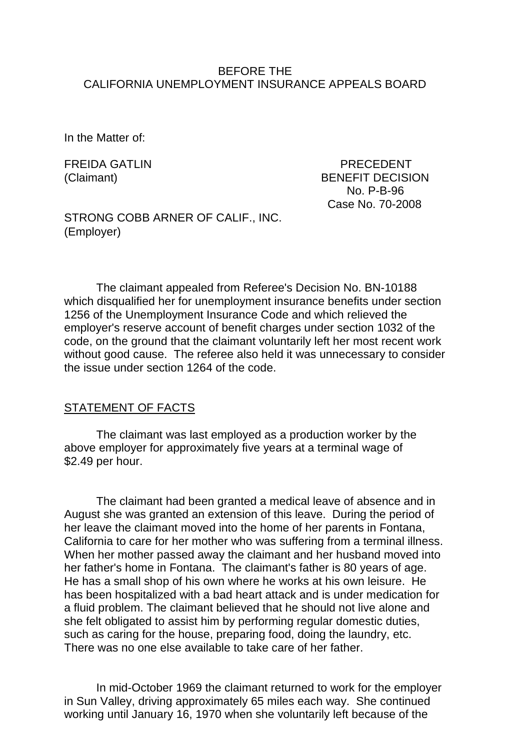### BEFORE THE CALIFORNIA UNEMPLOYMENT INSURANCE APPEALS BOARD

In the Matter of:

FREIDA GATLIN PRECEDENT (Claimant) BENEFIT DECISION No. P-B-96 Case No. 70-2008

STRONG COBB ARNER OF CALIF., INC. (Employer)

The claimant appealed from Referee's Decision No. BN-10188 which disqualified her for unemployment insurance benefits under section 1256 of the Unemployment Insurance Code and which relieved the employer's reserve account of benefit charges under section 1032 of the code, on the ground that the claimant voluntarily left her most recent work without good cause. The referee also held it was unnecessary to consider the issue under section 1264 of the code.

#### STATEMENT OF FACTS

The claimant was last employed as a production worker by the above employer for approximately five years at a terminal wage of \$2.49 per hour.

The claimant had been granted a medical leave of absence and in August she was granted an extension of this leave. During the period of her leave the claimant moved into the home of her parents in Fontana, California to care for her mother who was suffering from a terminal illness. When her mother passed away the claimant and her husband moved into her father's home in Fontana. The claimant's father is 80 years of age. He has a small shop of his own where he works at his own leisure. He has been hospitalized with a bad heart attack and is under medication for a fluid problem. The claimant believed that he should not live alone and she felt obligated to assist him by performing regular domestic duties, such as caring for the house, preparing food, doing the laundry, etc. There was no one else available to take care of her father.

In mid-October 1969 the claimant returned to work for the employer in Sun Valley, driving approximately 65 miles each way. She continued working until January 16, 1970 when she voluntarily left because of the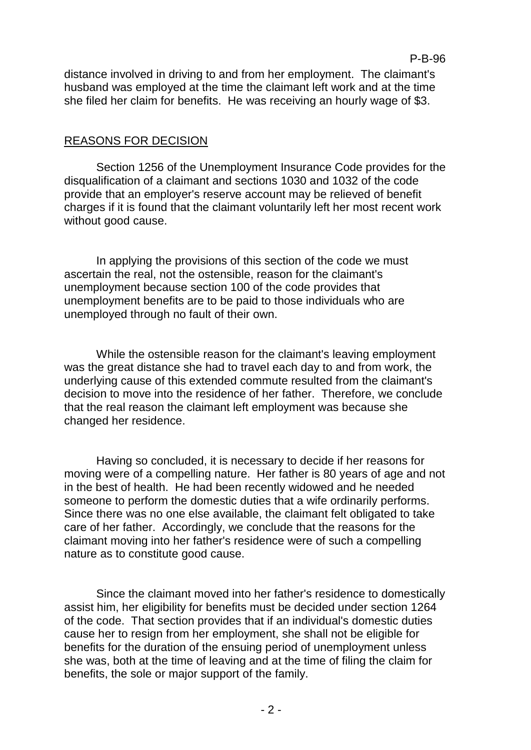distance involved in driving to and from her employment. The claimant's husband was employed at the time the claimant left work and at the time she filed her claim for benefits. He was receiving an hourly wage of \$3.

# REASONS FOR DECISION

Section 1256 of the Unemployment Insurance Code provides for the disqualification of a claimant and sections 1030 and 1032 of the code provide that an employer's reserve account may be relieved of benefit charges if it is found that the claimant voluntarily left her most recent work without good cause.

In applying the provisions of this section of the code we must ascertain the real, not the ostensible, reason for the claimant's unemployment because section 100 of the code provides that unemployment benefits are to be paid to those individuals who are unemployed through no fault of their own.

While the ostensible reason for the claimant's leaving employment was the great distance she had to travel each day to and from work, the underlying cause of this extended commute resulted from the claimant's decision to move into the residence of her father. Therefore, we conclude that the real reason the claimant left employment was because she changed her residence.

Having so concluded, it is necessary to decide if her reasons for moving were of a compelling nature. Her father is 80 years of age and not in the best of health. He had been recently widowed and he needed someone to perform the domestic duties that a wife ordinarily performs. Since there was no one else available, the claimant felt obligated to take care of her father. Accordingly, we conclude that the reasons for the claimant moving into her father's residence were of such a compelling nature as to constitute good cause.

Since the claimant moved into her father's residence to domestically assist him, her eligibility for benefits must be decided under section 1264 of the code. That section provides that if an individual's domestic duties cause her to resign from her employment, she shall not be eligible for benefits for the duration of the ensuing period of unemployment unless she was, both at the time of leaving and at the time of filing the claim for benefits, the sole or major support of the family.